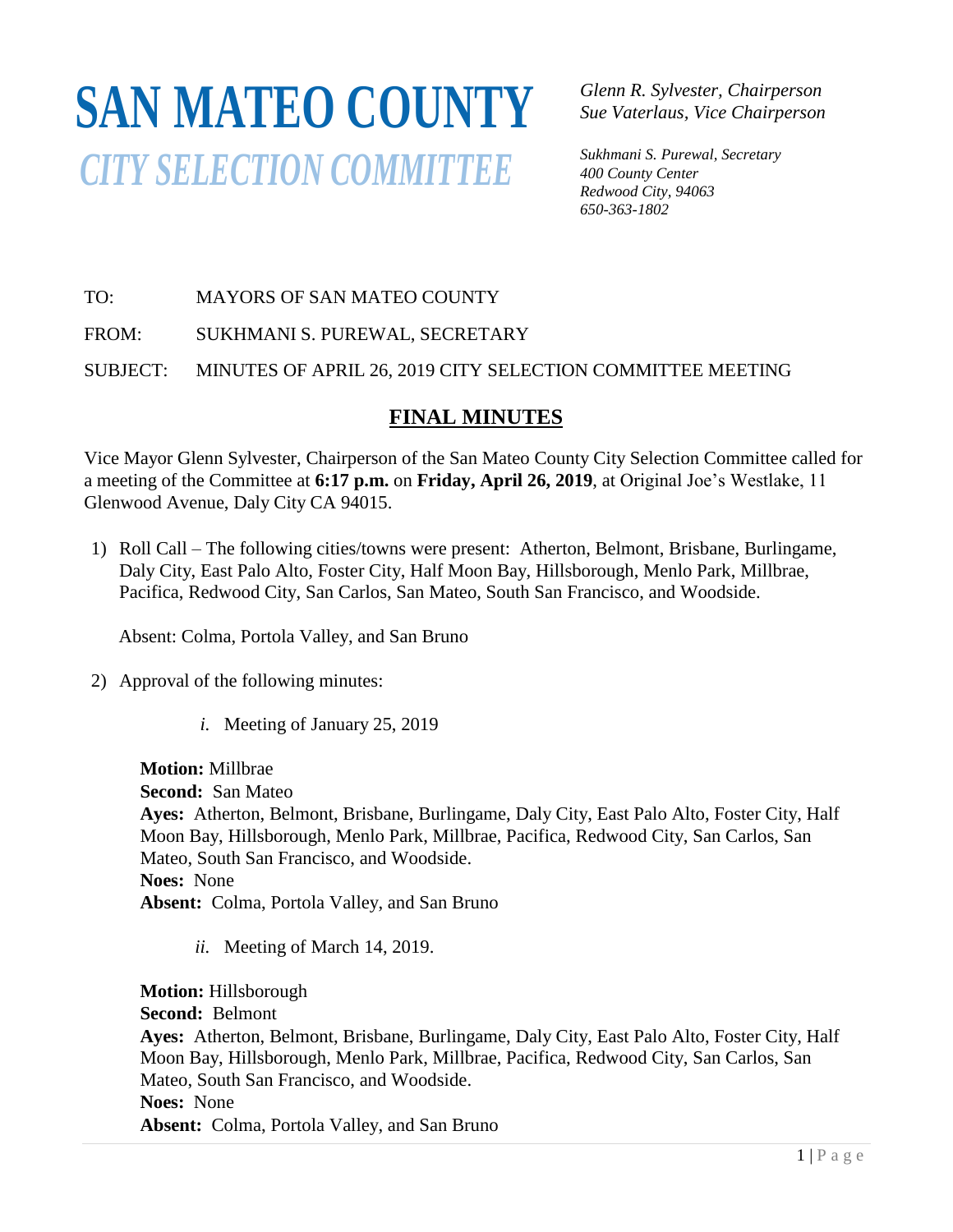## **SAN MATEO COUNTY** *CITY SELECTION COMMITTEE*

*Glenn R. Sylvester, Chairperson Sue Vaterlaus, Vice Chairperson*

*Sukhmani S. Purewal, Secretary 400 County Center Redwood City, 94063 650-363-1802*

## TO: MAYORS OF SAN MATEO COUNTY

FROM: SUKHMANI S. PUREWAL, SECRETARY

SUBJECT: MINUTES OF APRIL 26, 2019 CITY SELECTION COMMITTEE MEETING SOBJECT. MINUTES OF AFRIC

## **FINAL MINUTES**

*EINAL MINCTES*<br>Vice Mayor Glenn Sylvester, Chairperson of the San Mateo County City Selection Committee called for a meeting of the Committee at 6:17 p.m. on Friday, April 26, 2019, at Original Joe's Westlake, 11 Glenwood Avenue, Daly City CA 94015. *400 County Center 650-363-4124*

1) Roll Call – The following cities/towns were present: Atherton, Belmont, Brisbane, Burlingame, Daly City, East Palo Alto, Foster City, Half Moon Bay, Hillsborough, Menlo Park, Millbrae, Pacifica, Redwood City, San Carlos, San Mateo, South San Francisco, and Woodside.

Absent: Colma, Portola Valley, and San Bruno

- 2) Approval of the following minutes:
	- *i.* Meeting of January 25, 2019

**Motion:** Millbrae **Second:** San Mateo **Ayes:** Atherton, Belmont, Brisbane, Burlingame, Daly City, East Palo Alto, Foster City, Half Moon Bay, Hillsborough, Menlo Park, Millbrae, Pacifica, Redwood City, San Carlos, San Mateo, South San Francisco, and Woodside. **Noes:** None **Absent:** Colma, Portola Valley, and San Bruno

*ii.* Meeting of March 14, 2019.

**Motion:** Hillsborough **Second:** Belmont **Ayes:** Atherton, Belmont, Brisbane, Burlingame, Daly City, East Palo Alto, Foster City, Half Moon Bay, Hillsborough, Menlo Park, Millbrae, Pacifica, Redwood City, San Carlos, San Mateo, South San Francisco, and Woodside. **Noes:** None **Absent:** Colma, Portola Valley, and San Bruno